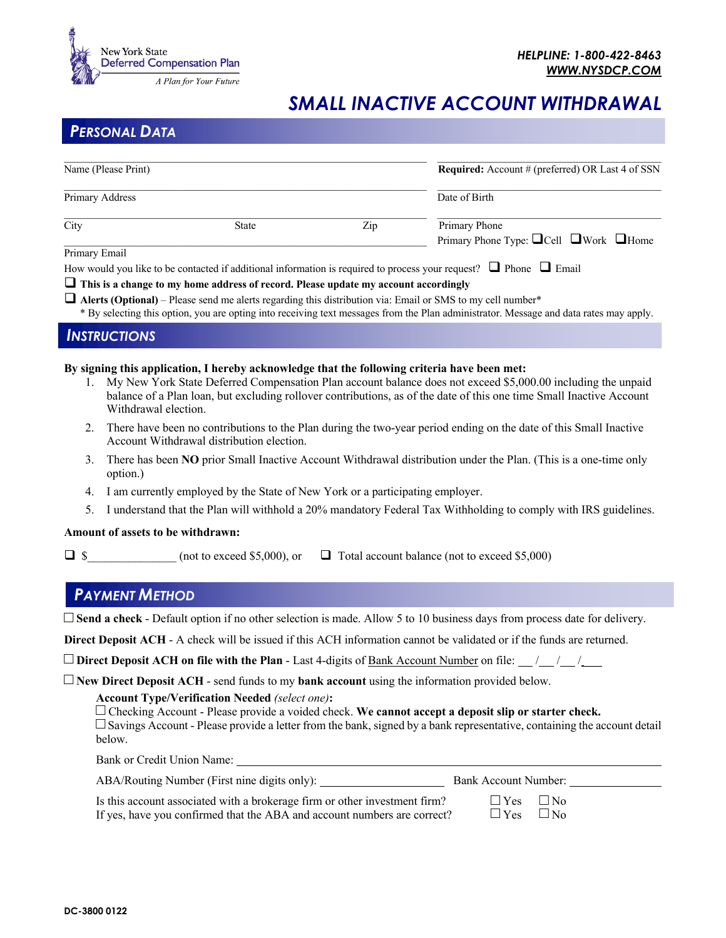

# *SMALL INACTIVE ACCOUNT WITHDRAWAL*

## *PERSONAL DATA*

| Name (Please Print) |              |               | <b>Required:</b> Account # (preferred) OR Last 4 of SSN                  |  |
|---------------------|--------------|---------------|--------------------------------------------------------------------------|--|
| Primary Address     |              | Date of Birth |                                                                          |  |
| City                | <b>State</b> | Zip           | Primary Phone<br>Primary Phone Type: $\Box$ Cell $\Box$ Work $\Box$ Home |  |
| Primary Email       |              |               |                                                                          |  |

#### Primary Email

How would you like to be contacted if additional information is required to process your request?  $\Box$  Phone  $\Box$  Email

**I** This is a change to my home address of record. Please update my account accordingly

 $\Box$  **Alerts (Optional)** – Please send me alerts regarding this distribution via: Email or SMS to my cell number\* \* By selecting this option, you are opting into receiving text messages from the Plan administrator. Message and data rates may apply.

#### *INSTRUCTIONS*

#### **By signing this application, I hereby acknowledge that the following criteria have been met:**

- 1. My New York State Deferred Compensation Plan account balance does not exceed \$5,000.00 including the unpaid balance of a Plan loan, but excluding rollover contributions, as of the date of this one time Small Inactive Account Withdrawal election.
- 2. There have been no contributions to the Plan during the two-year period ending on the date of this Small Inactive Account Withdrawal distribution election.
- 3. There has been **NO** prior Small Inactive Account Withdrawal distribution under the Plan. (This is a one-time only option.)
- 4. I am currently employed by the State of New York or a participating employer.
- 5. I understand that the Plan will withhold a 20% mandatory Federal Tax Withholding to comply with IRS guidelines.

#### **Amount of assets to be withdrawn:**

 $\Box$  \$ (not to exceed \$5,000), or  $\Box$  Total account balance (not to exceed \$5,000)

### *PAYMENT METHOD*

 $\Box$  Send a check - Default option if no other selection is made. Allow 5 to 10 business days from process date for delivery.

**Direct Deposit ACH** - A check will be issued if this ACH information cannot be validated or if the funds are returned.

c **Direct Deposit ACH on file with the Plan** - Last 4-digits of Bank Account Number on file: / / / \_\_\_

 $\Box$  **New Direct Deposit ACH** - send funds to my **bank account** using the information provided below.

#### **Account Type/Verification Needed** *(select one)***:**

 $\Box$  Checking Account - Please provide a voided check. We cannot accept a deposit slip or starter check.  $\square$  Savings Account - Please provide a letter from the bank, signed by a bank representative, containing the account detail below.

Bank or Credit Union Name:

| ABA/Routing Number (First nine digits only):                               | Bank Account Number: |  |
|----------------------------------------------------------------------------|----------------------|--|
| Is this account associated with a brokerage firm or other investment firm? | $\Box$ Yes $\Box$ No |  |
| If yes, have you confirmed that the ABA and account numbers are correct?   | $\Box$ Yes $\Box$ No |  |